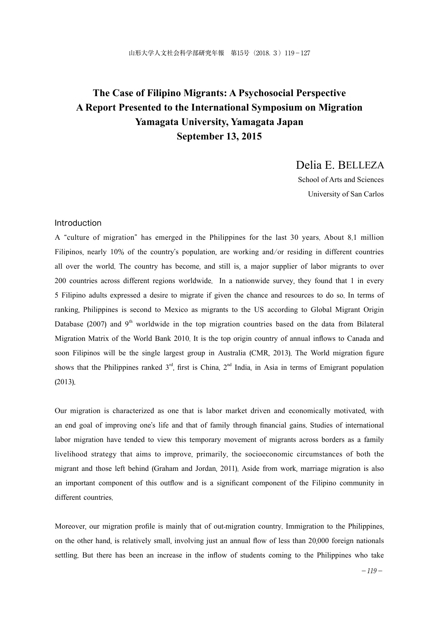# **The Case of Filipino Migrants: A Psychosocial Perspective A Report Presented to the International Symposium on Migration Yamagata University, Yamagata Japan September 13, 2015**

Delia E. BELLEZA

School of Arts and Sciences University of San Carlos

#### Introduction

A "culture of migration" has emerged in the Philippines for the last 30 years. About 8.1 million Filipinos, nearly 10% of the country's population, are working and/or residing in different countries all over the world. The country has become, and still is, a major supplier of labor migrants to over 200 countries across different regions worldwide. In a nationwide survey, they found that 1 in every 5 Filipino adults expressed a desire to migrate if given the chance and resources to do so. In terms of ranking, Philippines is second to Mexico as migrants to the US according to Global Migrant Origin Database (2007) and  $9<sup>th</sup>$  worldwide in the top migration countries based on the data from Bilateral Migration Matrix of the World Bank 2010. It is the top origin country of annual inflows to Canada and soon Filipinos will be the single largest group in Australia (CMR, 2013). The World migration figure shows that the Philippines ranked  $3<sup>rd</sup>$ , first is China,  $2<sup>nd</sup>$  India, in Asia in terms of Emigrant population (2013).

Our migration is characterized as one that is labor market driven and economically motivated, with an end goal of improving one's life and that of family through financial gains. Studies of international labor migration have tended to view this temporary movement of migrants across borders as a family livelihood strategy that aims to improve, primarily, the socioeconomic circumstances of both the migrant and those left behind (Graham and Jordan, 2011). Aside from work, marriage migration is also an important component of this outflow and is a significant component of the Filipino community in different countries.

Moreover, our migration profile is mainly that of out-migration country. Immigration to the Philippines, on the other hand, is relatively small, involving just an annual flow of less than 20,000 foreign nationals settling. But there has been an increase in the inflow of students coming to the Philippines who take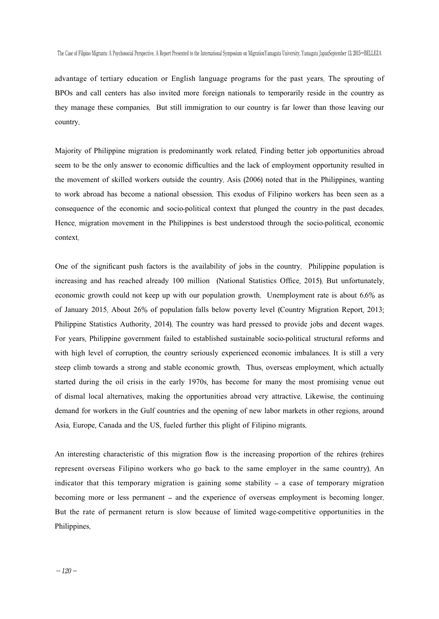advantage of tertiary education or English language programs for the past years. The sprouting of BPOs and call centers has also invited more foreign nationals to temporarily reside in the country as they manage these companies. But still immigration to our country is far lower than those leaving our country.

Majority of Philippine migration is predominantly work related. Finding better job opportunities abroad seem to be the only answer to economic difficulties and the lack of employment opportunity resulted in the movement of skilled workers outside the country. Asis (2006) noted that in the Philippines, wanting to work abroad has become a national obsession. This exodus of Filipino workers has been seen as a consequence of the economic and socio-political context that plunged the country in the past decades. Hence, migration movement in the Philippines is best understood through the socio-political, economic context.

One of the significant push factors is the availability of jobs in the country. Philippine population is increasing and has reached already 100 million (National Statistics Office, 2015). But unfortunately, economic growth could not keep up with our population growth. Unemployment rate is about 6.6% as of January 2015. About 26% of population falls below poverty level (Country Migration Report, 2013; Philippine Statistics Authority, 2014). The country was hard pressed to provide jobs and decent wages. For years, Philippine government failed to established sustainable socio-political structural reforms and with high level of corruption, the country seriously experienced economic imbalances. It is still a very steep climb towards a strong and stable economic growth. Thus, overseas employment, which actually started during the oil crisis in the early 1970s, has become for many the most promising venue out of dismal local alternatives, making the opportunities abroad very attractive. Likewise, the continuing demand for workers in the Gulf countries and the opening of new labor markets in other regions, around Asia, Europe, Canada and the US, fueled further this plight of Filipino migrants.

An interesting characteristic of this migration flow is the increasing proportion of the rehires (rehires represent overseas Filipino workers who go back to the same employer in the same country). An indicator that this temporary migration is gaining some stability – a case of temporary migration becoming more or less permanent – and the experience of overseas employment is becoming longer. But the rate of permanent return is slow because of limited wage-competitive opportunities in the Philippines.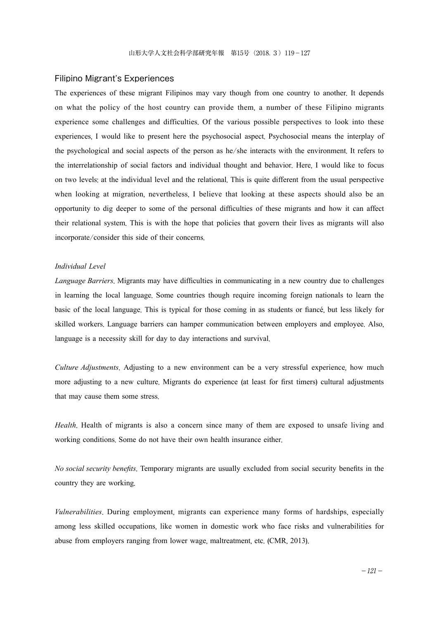#### Filipino Migrant's Experiences

The experiences of these migrant Filipinos may vary though from one country to another. It depends on what the policy of the host country can provide them, a number of these Filipino migrants experience some challenges and difficulties. Of the various possible perspectives to look into these experiences, I would like to present here the psychosocial aspect. Psychosocial means the interplay of the psychological and social aspects of the person as he/she interacts with the environment. It refers to the interrelationship of social factors and individual thought and behavior. Here, I would like to focus on two levels: at the individual level and the relational. This is quite different from the usual perspective when looking at migration, nevertheless, I believe that looking at these aspects should also be an opportunity to dig deeper to some of the personal difficulties of these migrants and how it can affect their relational system. This is with the hope that policies that govern their lives as migrants will also incorporate/consider this side of their concerns.

#### *Individual Level*

*Language Barriers*. Migrants may have difficulties in communicating in a new country due to challenges in learning the local language. Some countries though require incoming foreign nationals to learn the basic of the local language. This is typical for those coming in as students or fiancé, but less likely for skilled workers. Language barriers can hamper communication between employers and employee. Also, language is a necessity skill for day to day interactions and survival.

*Culture Adjustments*. Adjusting to a new environment can be a very stressful experience, how much more adjusting to a new culture. Migrants do experience (at least for first timers) cultural adjustments that may cause them some stress.

*Health*. Health of migrants is also a concern since many of them are exposed to unsafe living and working conditions. Some do not have their own health insurance either.

*No social security benefits*. Temporary migrants are usually excluded from social security benefits in the country they are working.

*Vulnerabilities*. During employment, migrants can experience many forms of hardships, especially among less skilled occupations, like women in domestic work who face risks and vulnerabilities for abuse from employers ranging from lower wage, maltreatment, etc. (CMR, 2013).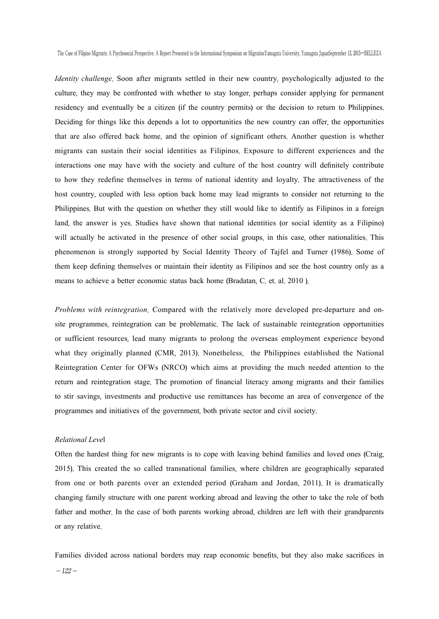The Case of Filipino Migrants: A Psychosocial Perspective. A Report Presented to the International Symposium on MigrationYamagata University, Yamagata JapanSeptember 13, 2015―BELLEZA

*Identity challenge*. Soon after migrants settled in their new country, psychologically adjusted to the culture, they may be confronted with whether to stay longer, perhaps consider applying for permanent residency and eventually be a citizen (if the country permits) or the decision to return to Philippines. Deciding for things like this depends a lot to opportunities the new country can offer, the opportunities that are also offered back home, and the opinion of significant others. Another question is whether migrants can sustain their social identities as Filipinos. Exposure to different experiences and the interactions one may have with the society and culture of the host country will definitely contribute to how they redefine themselves in terms of national identity and loyalty. The attractiveness of the host country, coupled with less option back home may lead migrants to consider not returning to the Philippines. But with the question on whether they still would like to identify as Filipinos in a foreign land, the answer is yes. Studies have shown that national identities (or social identity as a Filipino) will actually be activated in the presence of other social groups, in this case, other nationalities. This phenomenon is strongly supported by Social Identity Theory of Tajfel and Turner (1986). Some of them keep defining themselves or maintain their identity as Filipinos and see the host country only as a means to achieve a better economic status back home (Bradatan, C. et. al. 2010 ).

*Problems with reintegration*. Compared with the relatively more developed pre-departure and onsite programmes, reintegration can be problematic. The lack of sustainable reintegration opportunities or sufficient resources, lead many migrants to prolong the overseas employment experience beyond what they originally planned (CMR, 2013). Nonetheless, the Philippines established the National Reintegration Center for OFWs (NRCO) which aims at providing the much needed attention to the return and reintegration stage. The promotion of financial literacy among migrants and their families to stir savings, investments and productive use remittances has become an area of convergence of the programmes and initiatives of the government, both private sector and civil society.

### *Relational Leve*l

Often the hardest thing for new migrants is to cope with leaving behind families and loved ones (Craig, 2015). This created the so called transnational families, where children are geographically separated from one or both parents over an extended period (Graham and Jordan, 2011). It is dramatically changing family structure with one parent working abroad and leaving the other to take the role of both father and mother. In the case of both parents working abroad, children are left with their grandparents or any relative.

Families divided across national borders may reap economic benefits, but they also make sacrifices in  $-122-$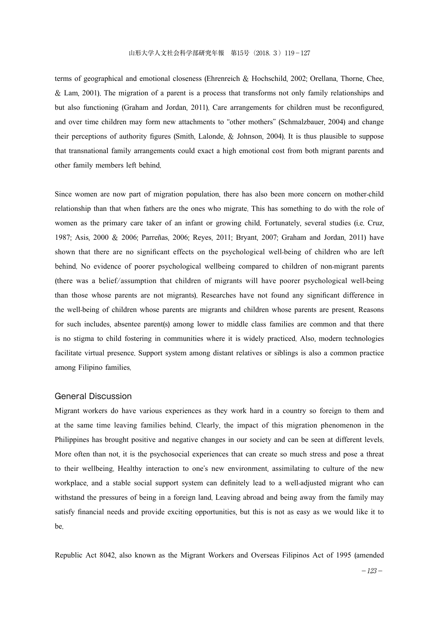terms of geographical and emotional closeness (Ehrenreich & Hochschild, 2002; Orellana, Thorne, Chee, & Lam, 2001). The migration of a parent is a process that transforms not only family relationships and but also functioning (Graham and Jordan, 2011). Care arrangements for children must be reconfigured, and over time children may form new attachments to "other mothers" (Schmalzbauer, 2004) and change their perceptions of authority figures (Smith, Lalonde, & Johnson, 2004). It is thus plausible to suppose that transnational family arrangements could exact a high emotional cost from both migrant parents and other family members left behind.

Since women are now part of migration population, there has also been more concern on mother-child relationship than that when fathers are the ones who migrate. This has something to do with the role of women as the primary care taker of an infant or growing child. Fortunately, several studies (i.e. Cruz, 1987; Asis, 2000 & 2006; Parreñas, 2006; Reyes, 2011; Bryant, 2007; Graham and Jordan, 2011) have shown that there are no significant effects on the psychological well-being of children who are left behind. No evidence of poorer psychological wellbeing compared to children of non-migrant parents (there was a belief/assumption that children of migrants will have poorer psychological well-being than those whose parents are not migrants). Researches have not found any significant difference in the well-being of children whose parents are migrants and children whose parents are present. Reasons for such includes, absentee parent(s) among lower to middle class families are common and that there is no stigma to child fostering in communities where it is widely practiced. Also, modern technologies facilitate virtual presence. Support system among distant relatives or siblings is also a common practice among Filipino families.

### General Discussion

Migrant workers do have various experiences as they work hard in a country so foreign to them and at the same time leaving families behind. Clearly, the impact of this migration phenomenon in the Philippines has brought positive and negative changes in our society and can be seen at different levels. More often than not, it is the psychosocial experiences that can create so much stress and pose a threat to their wellbeing. Healthy interaction to one's new environment, assimilating to culture of the new workplace, and a stable social support system can definitely lead to a well-adjusted migrant who can withstand the pressures of being in a foreign land. Leaving abroad and being away from the family may satisfy financial needs and provide exciting opportunities, but this is not as easy as we would like it to be.

Republic Act 8042, also known as the Migrant Workers and Overseas Filipinos Act of 1995 (amended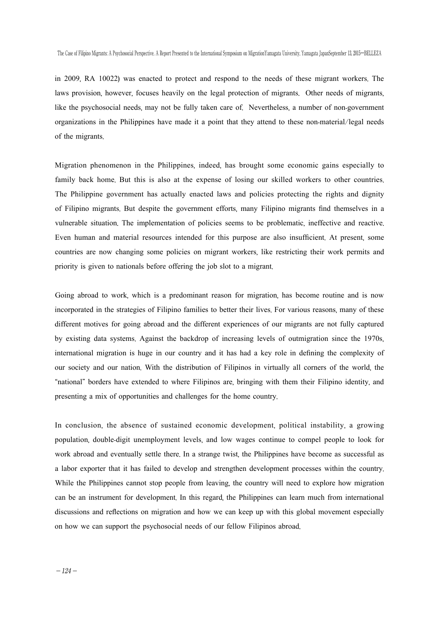in 2009, RA 10022) was enacted to protect and respond to the needs of these migrant workers. The laws provision, however, focuses heavily on the legal protection of migrants. Other needs of migrants, like the psychosocial needs, may not be fully taken care of. Nevertheless, a number of non-government organizations in the Philippines have made it a point that they attend to these non-material/legal needs of the migrants.

Migration phenomenon in the Philippines, indeed, has brought some economic gains especially to family back home. But this is also at the expense of losing our skilled workers to other countries. The Philippine government has actually enacted laws and policies protecting the rights and dignity of Filipino migrants. But despite the government efforts, many Filipino migrants find themselves in a vulnerable situation. The implementation of policies seems to be problematic, ineffective and reactive. Even human and material resources intended for this purpose are also insufficient. At present, some countries are now changing some policies on migrant workers, like restricting their work permits and priority is given to nationals before offering the job slot to a migrant.

Going abroad to work, which is a predominant reason for migration, has become routine and is now incorporated in the strategies of Filipino families to better their lives. For various reasons, many of these different motives for going abroad and the different experiences of our migrants are not fully captured by existing data systems. Against the backdrop of increasing levels of outmigration since the 1970s, international migration is huge in our country and it has had a key role in defining the complexity of our society and our nation. With the distribution of Filipinos in virtually all corners of the world, the "national" borders have extended to where Filipinos are, bringing with them their Filipino identity, and presenting a mix of opportunities and challenges for the home country.

In conclusion, the absence of sustained economic development, political instability, a growing population, double-digit unemployment levels, and low wages continue to compel people to look for work abroad and eventually settle there. In a strange twist, the Philippines have become as successful as a labor exporter that it has failed to develop and strengthen development processes within the country. While the Philippines cannot stop people from leaving, the country will need to explore how migration can be an instrument for development. In this regard, the Philippines can learn much from international discussions and reflections on migration and how we can keep up with this global movement especially on how we can support the psychosocial needs of our fellow Filipinos abroad.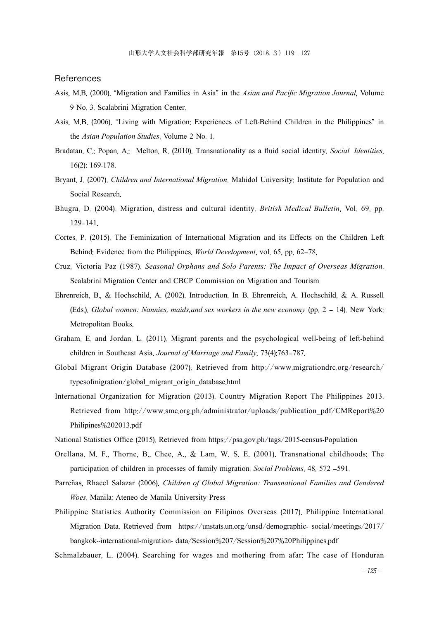### References

- Asis, M.B. (2000). "Migration and Families in Asia" in the *Asian and Pacific Migration Journal*, Volume 9 No. 3. Scalabrini Migration Center.
- Asis, M.B. (2006). "Living with Migration: Experiences of Left-Behind Children in the Philippines" in the *Asian Population Studies*, Volume 2 No. 1.
- Bradatan, C.; Popan, A.; Melton, R. (2010). Transnationality as a fluid social identity. *Social Identities*, 16(2): 169-178.
- Bryant, J. (2007). *Children and International Migration*. Mahidol University: Institute for Population and Social Research.
- Bhugra, D. (2004). Migration, distress and cultural identity. *British Medical Bulletin*, Vol. 69, pp. 129–141.
- Cortes, P. (2015). The Feminization of International Migration and its Effects on the Children Left Behind: Evidence from the Philippines. *World Development*, vol. 65, pp. 62–78,
- Cruz, Victoria Paz (1987). *Seasonal Orphans and Solo Parents: The Impact of Overseas Migration*. Scalabrini Migration Center and CBCP Commission on Migration and Tourism
- Ehrenreich, B., & Hochschild, A. (2002). Introduction. In B. Ehrenreich, A. Hochschild, & A. Russell (Eds.), *Global women: Nannies, maids,and sex workers in the new economy* (pp. 2 – 14). New York: Metropolitan Books.
- Graham, E. and Jordan, L. (2011). Migrant parents and the psychological well-being of left-behind children in Southeast Asia. *Journal of Marriage and Family*, 73(4):763–787.
- Global Migrant Origin Database (2007). Retrieved from http://www.migrationdrc.org/research/ typesofmigration/global\_migrant\_origin\_database.html
- International Organization for Migration (2013). Country Migration Report The Philippines 2013. Retrieved from http://www.smc.org.ph/administrator/uploads/publication\_pdf/CMReport%20 Philipines%202013.pdf
- National Statistics Office (2015). Retrieved from https://psa.gov.ph/tags/2015-census-Population
- Orellana, M. F., Thorne, B., Chee, A., & Lam, W. S. E. (2001). Transnational childhoods: The participation of children in processes of family migration. *Social Problems*, 48, 572 –591.
- Parreñas, Rhacel Salazar (2006). *Children of Global Migration: Transnational Families and Gendered Woes*. Manila: Ateneo de Manila University Press
- Philippine Statistics Authority Commission on Filipinos Overseas (2017). Philippine International Migration Data. Retrieved from https://unstats.un.org/unsd/demographic- social/meetings/2017/ bangkok--international-migration- data/Session%207/Session%207%20Philippines.pdf

Schmalzbauer, L. (2004). Searching for wages and mothering from afar: The case of Honduran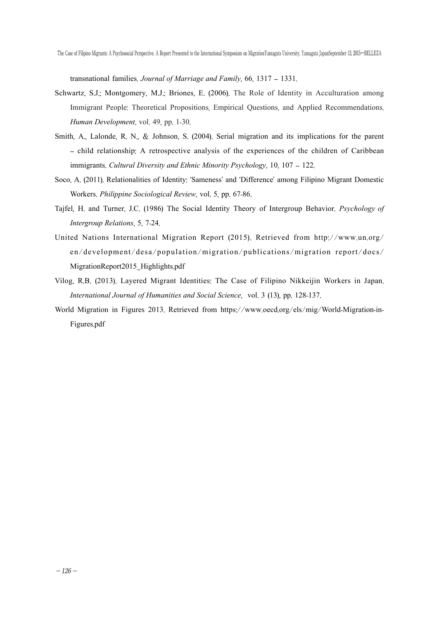The Case of Filipino Migrants: A Psychosocial Perspective. A Report Presented to the International Symposium on MigrationYamagata University, Yamagata JapanSeptember 13, 2015―BELLEZA

transnational families. *Journal of Marriage and Family*, 66, 1317 – 1331.

- Schwartz, S.J.; Montgomery, M.J.; Briones, E. (2006). The Role of Identity in Acculturation among Immigrant People: Theoretical Propositions, Empirical Questions, and Applied Recommendations. *Human Development*, vol. 49, pp. 1-30.
- Smith, A., Lalonde, R. N., & Johnson, S. (2004). Serial migration and its implications for the parent – child relationship: A retrospective analysis of the experiences of the children of Caribbean immigrants. *Cultural Diversity and Ethnic Minority Psychology*, 10, 107 – 122.
- Soco, A. (2011). Relationalities of Identity: 'Sameness' and 'Difference' among Filipino Migrant Domestic Workers. *Philippine Sociological Review*, vol. 5, pp. 67-86.
- Tajfel, H. and Turner, J.C. (1986) The Social Identity Theory of Intergroup Behavior. *Psychology of Intergroup Relations*, 5, 7-24.
- United Nations International Migration Report (2015). Retrieved from http://www.un.org/ en/development/desa/population/migration/publications/migration report/docs/ MigrationReport2015\_Highlights.pdf
- Vilog, R.B. (2013). Layered Migrant Identities: The Case of Filipino Nikkeijin Workers in Japan. *International Journal of Humanities and Social Science*, vol. 3 (13), pp. 128-137.
- World Migration in Figures 2013. Retrieved from https://www.oecd.org/els/mig/World-Migration-in-Figures.pdf